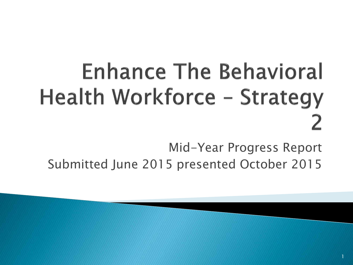# **Enhance The Behavioral Health Workforce - Strategy**

*Mid-Year Progress Report* 

*Submitted June 2015 presented October 2015*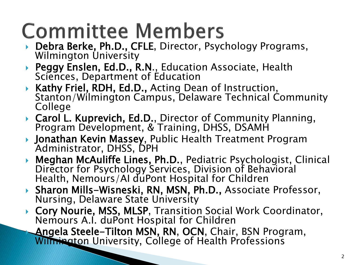#### **Committee Members**

- *Debra Berke, Ph.D., CFLE, Director, Psychology Programs, Wilmington University*
- *Peggy Enslen, Ed.D., R.N., Education Associate, Health Sciences, Department of Education*
- *Kathy Friel, RDH, Ed.D., Acting Dean of Instruction, Stanton/Wilmington Campus, Delaware Technical Community College*
- *Carol L. Kuprevich, Ed.D., Director of Community Planning, Program Development, & Training, DHSS, DSAMH*
- *Jonathan Kevin Massey, Public Health Treatment Program Administrator, DHSS, DPH*
- *Meghan McAuliffe Lines, Ph.D., Pediatric Psychologist, Clinical Director for Psychology Services, Division of Behavioral Health, Nemours/AI duPont Hospital for Children*
- *Sharon Mills-Wisneski, RN, MSN, Ph.D., Associate Professor, Nursing, Delaware State University*
- *Cory Nourie, MSS, MLSP, Transition Social Work Coordinator, Nemours A.I. duPont Hospital for Children*

 *Angela Steele-Tilton MSN, RN, OCN, Chair, BSN Program, Wilmington University, College of Health Professions*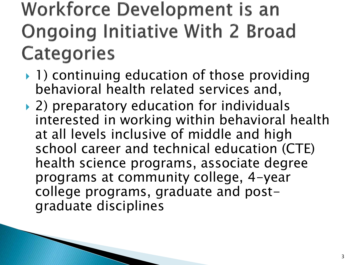#### **Workforce Development is an Ongoing Initiative With 2 Broad Categories**

- *1) continuing education of those providing behavioral health related services and,*
- *2) preparatory education for individuals interested in working within behavioral health at all levels inclusive of middle and high school career and technical education (CTE) health science programs, associate degree programs at community college, 4-year college programs, graduate and postgraduate disciplines*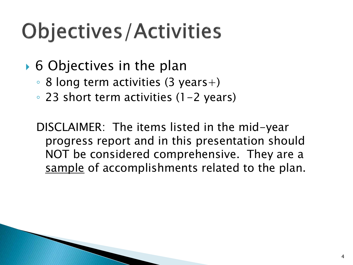## **Objectives/Activities**

- *6 Objectives in the plan* 
	- *8 long term activities (3 years+)*
	- *23 short term activities (1-2 years)*

*DISCLAIMER: The items listed in the mid-year progress report and in this presentation should NOT be considered comprehensive. They are a sample of accomplishments related to the plan.*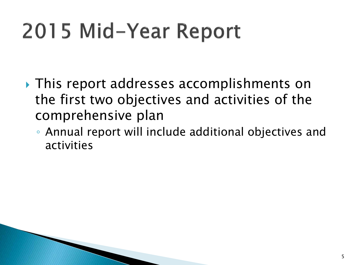# 2015 Mid-Year Report

- *This report addresses accomplishments on the first two objectives and activities of the comprehensive plan* 
	- *Annual report will include additional objectives and activities*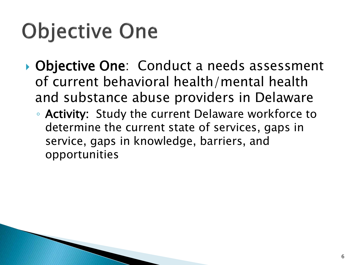# **Objective One**

- *Objective One: Conduct a needs assessment of current behavioral health/mental health and substance abuse providers in Delaware* 
	- *Activity: Study the current Delaware workforce to determine the current state of services, gaps in service, gaps in knowledge, barriers, and opportunities*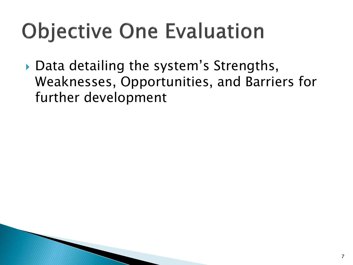# **Objective One Evaluation**

▶ Data detailing the system's Strengths, *Weaknesses, Opportunities, and Barriers for further development*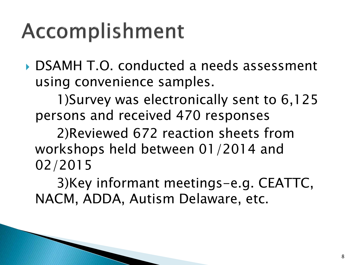#### Accomplishment

 *DSAMH T.O. conducted a needs assessment using convenience samples.* 

 *1)Survey was electronically sent to 6,125 persons and received 470 responses* 

 *2)Reviewed 672 reaction sheets from workshops held between 01/2014 and 02/2015* 

 *3)Key informant meetings-e.g. CEATTC, NACM, ADDA, Autism Delaware, etc.*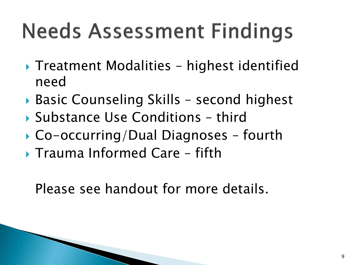# **Needs Assessment Findings**

- *Treatment Modalities* – *highest identified need*
- *Basic Counseling Skills* – *second highest*
- *Substance Use Conditions* – *third*
- *Co-occurring/Dual Diagnoses* – *fourth*
- *Trauma Informed Care* – *fifth*

 *Please see handout for more details.*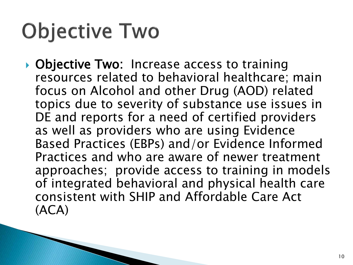### **Objective Two**

 *Objective Two: Increase access to training resources related to behavioral healthcare; main focus on Alcohol and other Drug (AOD) related topics due to severity of substance use issues in DE and reports for a need of certified providers as well as providers who are using Evidence Based Practices (EBPs) and/or Evidence Informed Practices and who are aware of newer treatment approaches; provide access to training in models of integrated behavioral and physical health care consistent with SHIP and Affordable Care Act (ACA)*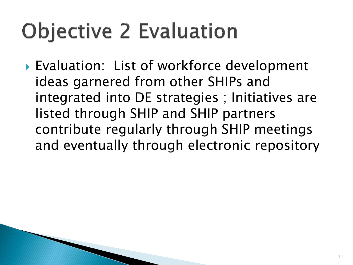## **Objective 2 Evaluation**

 *Evaluation: List of workforce development ideas garnered from other SHIPs and integrated into DE strategies ; Initiatives are listed through SHIP and SHIP partners contribute regularly through SHIP meetings and eventually through electronic repository*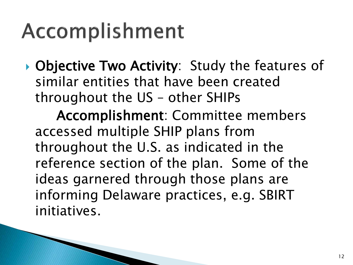#### Accomplishment

 *Objective Two Activity: Study the features of similar entities that have been created throughout the US* – *other SHIPs* 

 *Accomplishment: Committee members accessed multiple SHIP plans from throughout the U.S. as indicated in the reference section of the plan. Some of the ideas garnered through those plans are informing Delaware practices, e.g. SBIRT initiatives.*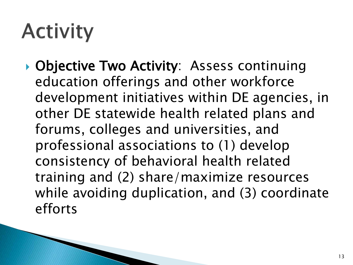#### **Activity**

 *Objective Two Activity: Assess continuing education offerings and other workforce development initiatives within DE agencies, in other DE statewide health related plans and forums, colleges and universities, and professional associations to (1) develop consistency of behavioral health related training and (2) share/maximize resources while avoiding duplication, and (3) coordinate efforts*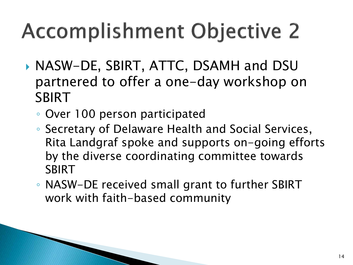# **Accomplishment Objective 2**

- *NASW-DE, SBIRT, ATTC, DSAMH and DSU partnered to offer a one-day workshop on SBIRT* 
	- *Over 100 person participated*
	- *Secretary of Delaware Health and Social Services, Rita Landgraf spoke and supports on-going efforts by the diverse coordinating committee towards SBIRT*
	- *NASW-DE received small grant to further SBIRT work with faith-based community*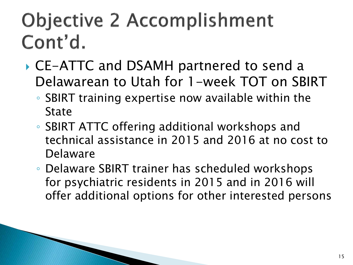#### **Objective 2 Accomplishment** Cont'd.

- *CE-ATTC and DSAMH partnered to send a Delawarean to Utah for 1-week TOT on SBIRT* 
	- *SBIRT training expertise now available within the State*
	- *SBIRT ATTC offering additional workshops and technical assistance in 2015 and 2016 at no cost to Delaware*
	- *Delaware SBIRT trainer has scheduled workshops for psychiatric residents in 2015 and in 2016 will offer additional options for other interested persons*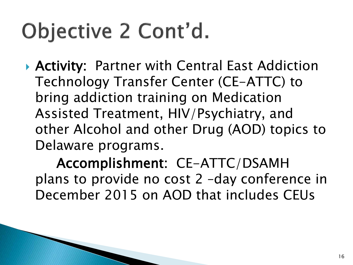# Objective 2 Cont'd.

 *Activity: Partner with Central East Addiction Technology Transfer Center (CE-ATTC) to bring addiction training on Medication Assisted Treatment, HIV/Psychiatry, and other Alcohol and other Drug (AOD) topics to Delaware programs.* 

 *Accomplishment: CE-ATTC/DSAMH plans to provide no cost 2* –*day conference in December 2015 on AOD that includes CEUs*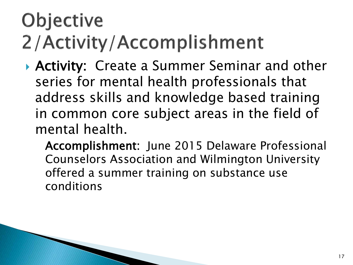#### **Objective** 2/Activity/Accomplishment

 *Activity: Create a Summer Seminar and other series for mental health professionals that address skills and knowledge based training in common core subject areas in the field of mental health.* 

*Accomplishment: June 2015 Delaware Professional Counselors Association and Wilmington University offered a summer training on substance use conditions*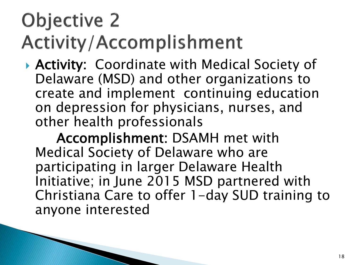#### **Objective 2 Activity/Accomplishment**

 *Activity: Coordinate with Medical Society of Delaware (MSD) and other organizations to create and implement continuing education on depression for physicians, nurses, and other health professionals* 

 *Accomplishment: DSAMH met with Medical Society of Delaware who are participating in larger Delaware Health Initiative; in June 2015 MSD partnered with Christiana Care to offer 1-day SUD training to anyone interested*